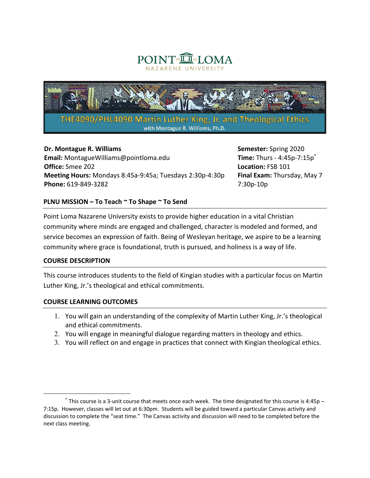



## **Dr. Montague R. Williams**

**Email:** MontagueWilliams@pointloma.edu **Office:** Smee 202 **Meeting Hours:** Mondays 8:45a-9:45a; Tuesdays 2:30p-4:30p **Phone:** 619-849-3282

**Semester:** Spring 2020 **Time:** Thurs - 4:45p-7:15p\* **Location:** FSB 101 **Final Exam:** Thursday, May 7 7:30p-10p

## **PLNU MISSION – To Teach ~ To Shape ~ To Send**

Point Loma Nazarene University exists to provide higher education in a vital Christian community where minds are engaged and challenged, character is modeled and formed, and service becomes an expression of faith. Being of Wesleyan heritage, we aspire to be a learning community where grace is foundational, truth is pursued, and holiness is a way of life.

#### **COURSE DESCRIPTION**

This course introduces students to the field of Kingian studies with a particular focus on Martin Luther King, Jr.'s theological and ethical commitments.

## **COURSE LEARNING OUTCOMES**

- 1. You will gain an understanding of the complexity of Martin Luther King, Jr.'s theological and ethical commitments.
- 2. You will engage in meaningful dialogue regarding matters in theology and ethics.
- 3. You will reflect on and engage in practices that connect with Kingian theological ethics.

 $*$  This course is a 3-unit course that meets once each week. The time designated for this course is 4:45p – 7:15p. However, classes will let out at 6:30pm. Students will be guided toward a particular Canvas activity and discussion to complete the "seat time." The Canvas activity and discussion will need to be completed before the next class meeting.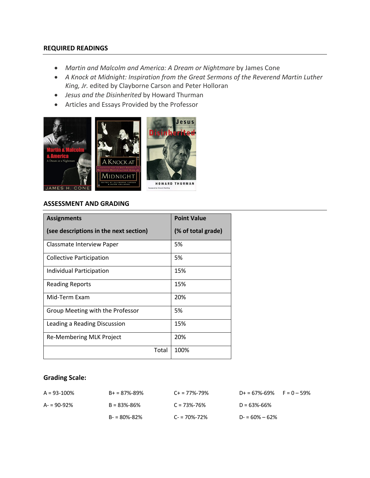### **REQUIRED READINGS**

- *Martin and Malcolm and America: A Dream or Nightmare* by James Cone
- *A Knock at Midnight: Inspiration from the Great Sermons of the Reverend Martin Luther King, Jr.* edited by Clayborne Carson and Peter Holloran
- *Jesus and the Disinherited* by Howard Thurman
- Articles and Essays Provided by the Professor



## **ASSESSMENT AND GRADING**

| <b>Assignments</b>                     | <b>Point Value</b> |
|----------------------------------------|--------------------|
| (see descriptions in the next section) | (% of total grade) |
| Classmate Interview Paper              | 5%                 |
| Collective Participation               | 5%                 |
| Individual Participation               | 15%                |
| <b>Reading Reports</b>                 | 15%                |
| Mid-Term Exam                          | 20%                |
| Group Meeting with the Professor       | 5%                 |
| Leading a Reading Discussion           | 15%                |
| Re-Membering MLK Project               | 20%                |
| Total                                  | 100%               |

#### **Grading Scale:**

| $A = 93 - 100\%$ | $B+ = 87\% - 89\%$ | $C_{+}$ = 77%-79% | $D+ = 67\% - 69\%$ F = 0 - 59% |
|------------------|--------------------|-------------------|--------------------------------|
| $A = 90 - 92%$   | $B = 83\% - 86\%$  | $C = 73\% - 76\%$ | $D = 63\% - 66\%$              |
|                  | $B - 80\% - 82\%$  | $C = 70\% - 72\%$ | $D = 60\% - 62\%$              |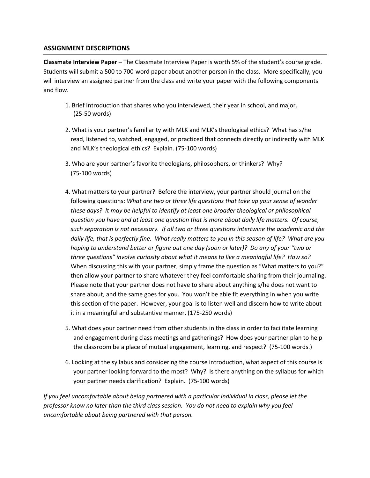### **ASSIGNMENT DESCRIPTIONS**

**Classmate Interview Paper –** The Classmate Interview Paper is worth 5% of the student's course grade. Students will submit a 500 to 700-word paper about another person in the class. More specifically, you will interview an assigned partner from the class and write your paper with the following components and flow.

- 1. Brief Introduction that shares who you interviewed, their year in school, and major. (25-50 words)
- 2. What is your partner's familiarity with MLK and MLK's theological ethics? What has s/he read, listened to, watched, engaged, or practiced that connects directly or indirectly with MLK and MLK's theological ethics? Explain. (75-100 words)
- 3. Who are your partner's favorite theologians, philosophers, or thinkers? Why? (75-100 words)
- 4. What matters to your partner? Before the interview, your partner should journal on the following questions: *What are two or three life questions that take up your sense of wonder these days? It may be helpful to identify at least one broader theological or philosophical question you have and at least one question that is more about daily life matters. Of course, such separation is not necessary. If all two or three questions intertwine the academic and the daily life, that is perfectly fine. What really matters to you in this season of life? What are you hoping to understand better or figure out one day (soon or later)? Do any of your "two or three questions" involve curiosity about what it means to live a meaningful life? How so?* When discussing this with your partner, simply frame the question as "What matters to you?" then allow your partner to share whatever they feel comfortable sharing from their journaling. Please note that your partner does not have to share about anything s/he does not want to share about, and the same goes for you. You won't be able fit everything in when you write this section of the paper. However, your goal is to listen well and discern how to write about it in a meaningful and substantive manner. (175-250 words)
- 5. What does your partner need from other students in the class in order to facilitate learning and engagement during class meetings and gatherings? How does your partner plan to help the classroom be a place of mutual engagement, learning, and respect? (75-100 words.)
- 6. Looking at the syllabus and considering the course introduction, what aspect of this course is your partner looking forward to the most? Why? Is there anything on the syllabus for which your partner needs clarification? Explain. (75-100 words)

*If you feel uncomfortable about being partnered with a particular individual in class, please let the professor know no later than the third class session. You do not need to explain why you feel uncomfortable about being partnered with that person.*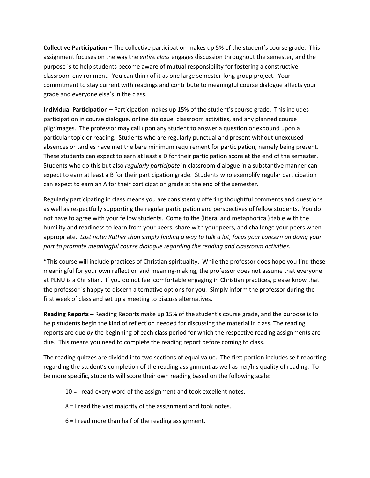**Collective Participation –** The collective participation makes up 5% of the student's course grade. This assignment focuses on the way the *entire class* engages discussion throughout the semester, and the purpose is to help students become aware of mutual responsibility for fostering a constructive classroom environment. You can think of it as one large semester-long group project. Your commitment to stay current with readings and contribute to meaningful course dialogue affects your grade and everyone else's in the class.

**Individual Participation –** Participation makes up 15% of the student's course grade. This includes participation in course dialogue, online dialogue, classroom activities, and any planned course pilgrimages. The professor may call upon any student to answer a question or expound upon a particular topic or reading. Students who are regularly punctual and present without unexcused absences or tardies have met the bare minimum requirement for participation, namely being present. These students can expect to earn at least a D for their participation score at the end of the semester. Students who do this but also *regularly participate* in classroom dialogue in a substantive manner can expect to earn at least a B for their participation grade. Students who exemplify regular participation can expect to earn an A for their participation grade at the end of the semester.

Regularly participating in class means you are consistently offering thoughtful comments and questions as well as respectfully supporting the regular participation and perspectives of fellow students. You do not have to agree with your fellow students. Come to the (literal and metaphorical) table with the humility and readiness to learn from your peers, share with your peers, and challenge your peers when appropriate. *Last note: Rather than simply finding a way to talk a lot, focus your concern on doing your part to promote meaningful course dialogue regarding the reading and classroom activities.*

\*This course will include practices of Christian spirituality. While the professor does hope you find these meaningful for your own reflection and meaning-making, the professor does not assume that everyone at PLNU is a Christian. If you do not feel comfortable engaging in Christian practices, please know that the professor is happy to discern alternative options for you. Simply inform the professor during the first week of class and set up a meeting to discuss alternatives.

**Reading Reports –** Reading Reports make up 15% of the student's course grade, and the purpose is to help students begin the kind of reflection needed for discussing the material in class. The reading reports are due *by* the beginning of each class period for which the respective reading assignments are due. This means you need to complete the reading report before coming to class.

The reading quizzes are divided into two sections of equal value. The first portion includes self-reporting regarding the student's completion of the reading assignment as well as her/his quality of reading. To be more specific, students will score their own reading based on the following scale:

10 = I read every word of the assignment and took excellent notes.

8 = I read the vast majority of the assignment and took notes.

6 = I read more than half of the reading assignment.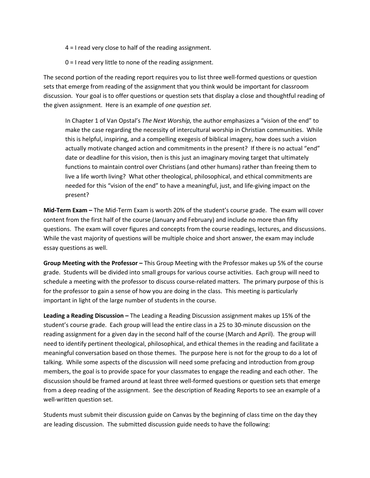4 = I read very close to half of the reading assignment.

0 = I read very little to none of the reading assignment.

The second portion of the reading report requires you to list three well-formed questions or question sets that emerge from reading of the assignment that you think would be important for classroom discussion. Your goal is to offer questions or question sets that display a close and thoughtful reading of the given assignment. Here is an example of *one question set*.

In Chapter 1 of Van Opstal's *The Next Worship,* the author emphasizes a "vision of the end" to make the case regarding the necessity of intercultural worship in Christian communities. While this is helpful, inspiring, and a compelling exegesis of biblical imagery, how does such a vision actually motivate changed action and commitments in the present? If there is no actual "end" date or deadline for this vision, then is this just an imaginary moving target that ultimately functions to maintain control over Christians (and other humans) rather than freeing them to live a life worth living? What other theological, philosophical, and ethical commitments are needed for this "vision of the end" to have a meaningful, just, and life-giving impact on the present?

**Mid-Term Exam –** The Mid-Term Exam is worth 20% of the student's course grade. The exam will cover content from the first half of the course (January and February) and include no more than fifty questions. The exam will cover figures and concepts from the course readings, lectures, and discussions. While the vast majority of questions will be multiple choice and short answer, the exam may include essay questions as well.

**Group Meeting with the Professor –** This Group Meeting with the Professor makes up 5% of the course grade. Students will be divided into small groups for various course activities. Each group will need to schedule a meeting with the professor to discuss course-related matters. The primary purpose of this is for the professor to gain a sense of how you are doing in the class. This meeting is particularly important in light of the large number of students in the course.

**Leading a Reading Discussion –** The Leading a Reading Discussion assignment makes up 15% of the student's course grade. Each group will lead the entire class in a 25 to 30-minute discussion on the reading assignment for a given day in the second half of the course (March and April). The group will need to identify pertinent theological, philosophical, and ethical themes in the reading and facilitate a meaningful conversation based on those themes. The purpose here is not for the group to do a lot of talking. While some aspects of the discussion will need some prefacing and introduction from group members, the goal is to provide space for your classmates to engage the reading and each other. The discussion should be framed around at least three well-formed questions or question sets that emerge from a deep reading of the assignment. See the description of Reading Reports to see an example of a well-written question set.

Students must submit their discussion guide on Canvas by the beginning of class time on the day they are leading discussion. The submitted discussion guide needs to have the following: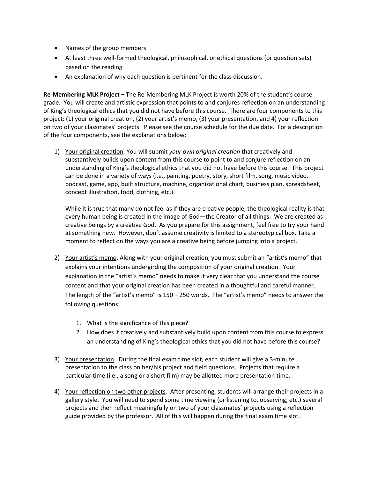- Names of the group members
- At least three well-formed theological, philosophical, or ethical questions (or question sets) based on the reading.
- An explanation of why each question is pertinent for the class discussion.

**Re-Membering MLK Project –** The Re-Membering MLK Project is worth 20% of the student's course grade. You will create and artistic expression that points to and conjures reflection on an understanding of King's theological ethics that you did not have before this course. There are four components to this project: (1) your original creation, (2) your artist's memo, (3) your presentation, and 4) your reflection on two of your classmates' projects. Please see the course schedule for the due date. For a description of the four components, see the explanations below:

1) Your original creation. You will submit *your own original creation* that creatively and substantively builds upon content from this course to point to and conjure reflection on an understanding of King's theological ethics that you did not have before this course. This project can be done in a variety of ways (i.e., painting, poetry, story, short film, song, music video, podcast, game, app, built structure, machine, organizational chart, business plan, spreadsheet, concept illustration, food, clothing, etc.).

While it is true that many do not feel as if they are creative people, the theological reality is that every human being is created in the image of God—the Creator of all things. We are created as creative beings by a creative God. As you prepare for this assignment, feel free to try your hand at something new. However, don't assume creativity is limited to a stereotypical box. Take a moment to reflect on the ways you are a creative being before jumping into a project.

- 2) Your artist's memo. Along with your original creation, you must submit an "artist's memo" that explains your intentions undergirding the composition of your original creation. Your explanation in the "artist's memo" needs to make it very clear that you understand the course content and that your original creation has been created in a thoughtful and careful manner. The length of the "artist's memo" is 150 – 250 words. The "artist's memo" needs to answer the following questions:
	- 1. What is the significance of this piece?
	- 2. How does it creatively and substantively build upon content from this course to express an understanding of King's theological ethics that you did not have before this course?
- 3) Your presentation. During the final exam time slot, each student will give a 3-minute presentation to the class on her/his project and field questions. Projects that require a particular time (i.e., a song or a short film) may be allotted more presentation time.
- 4) Your reflection on two other projects. After presenting, students will arrange their projects in a gallery style. You will need to spend some time viewing (or listening to, observing, etc.) several projects and then reflect meaningfully on two of your classmates' projects using a reflection guide provided by the professor. All of this will happen during the final exam time slot.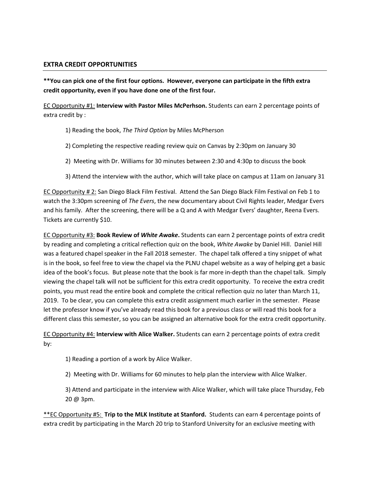### **EXTRA CREDIT OPPORTUNITIES**

**\*\*You can pick one of the first four options. However, everyone can participate in the fifth extra credit opportunity, even if you have done one of the first four.**

EC Opportunity #1: **Interview with Pastor Miles McPerhson.** Students can earn 2 percentage points of extra credit by :

- 1) Reading the book, *The Third Option* by Miles McPherson
- 2) Completing the respective reading review quiz on Canvas by 2:30pm on January 30
- 2) Meeting with Dr. Williams for 30 minutes between 2:30 and 4:30p to discuss the book
- 3) Attend the interview with the author, which will take place on campus at 11am on January 31

EC Opportunity # 2: San Diego Black Film Festival. Attend the San Diego Black Film Festival on Feb 1 to watch the 3:30pm screening of *The Evers*, the new documentary about Civil Rights leader, Medgar Evers and his family. After the screening, there will be a Q and A with Medgar Evers' daughter, Reena Evers. Tickets are currently \$10.

EC Opportunity #3: **Book Review of** *White Awake***.** Students can earn 2 percentage points of extra credit by reading and completing a critical reflection quiz on the book, *White Awake* by Daniel Hill. Daniel Hill was a featured chapel speaker in the Fall 2018 semester. The chapel talk offered a tiny snippet of what is in the book, so feel free to view the chapel via the PLNU chapel website as a way of helping get a basic idea of the book's focus. But please note that the book is far more in-depth than the chapel talk. Simply viewing the chapel talk will not be sufficient for this extra credit opportunity. To receive the extra credit points, you must read the entire book and complete the critical reflection quiz no later than March 11, 2019. To be clear, you can complete this extra credit assignment much earlier in the semester. Please let the professor know if you've already read this book for a previous class or will read this book for a different class this semester, so you can be assigned an alternative book for the extra credit opportunity.

EC Opportunity #4: **Interview with Alice Walker.** Students can earn 2 percentage points of extra credit by:

1) Reading a portion of a work by Alice Walker.

2) Meeting with Dr. Williams for 60 minutes to help plan the interview with Alice Walker.

3) Attend and participate in the interview with Alice Walker, which will take place Thursday, Feb 20 @ 3pm.

\*\*EC Opportunity #5: **Trip to the MLK Institute at Stanford.** Students can earn 4 percentage points of extra credit by participating in the March 20 trip to Stanford University for an exclusive meeting with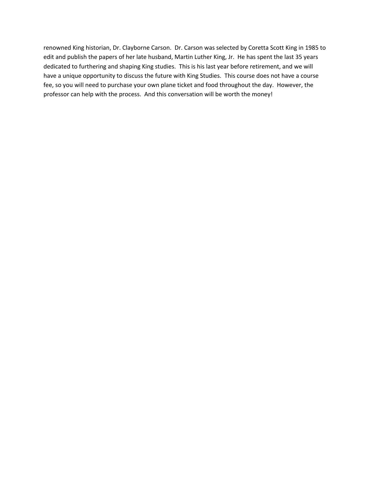renowned King historian, Dr. Clayborne Carson. Dr. Carson was selected by Coretta Scott King in 1985 to edit and publish the papers of her late husband, Martin Luther King, Jr. He has spent the last 35 years dedicated to furthering and shaping King studies. This is his last year before retirement, and we will have a unique opportunity to discuss the future with King Studies. This course does not have a course fee, so you will need to purchase your own plane ticket and food throughout the day. However, the professor can help with the process. And this conversation will be worth the money!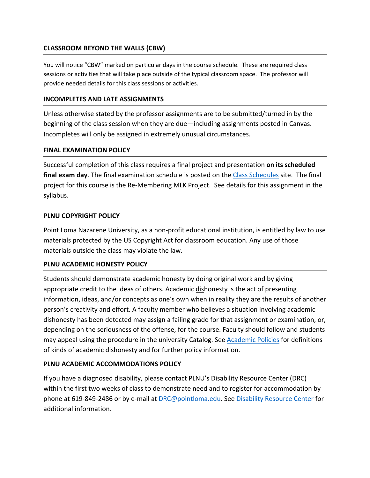# **CLASSROOM BEYOND THE WALLS (CBW)**

You will notice "CBW" marked on particular days in the course schedule. These are required class sessions or activities that will take place outside of the typical classroom space. The professor will provide needed details for this class sessions or activities.

## **INCOMPLETES AND LATE ASSIGNMENTS**

Unless otherwise stated by the professor assignments are to be submitted/turned in by the beginning of the class session when they are due—including assignments posted in Canvas. Incompletes will only be assigned in extremely unusual circumstances.

## **FINAL EXAMINATION POLICY**

Successful completion of this class requires a final project and presentation **on its scheduled final exam day**. The final examination schedule is posted on the Class Schedules site. The final project for this course is the Re-Membering MLK Project. See details for this assignment in the syllabus.

## **PLNU COPYRIGHT POLICY**

Point Loma Nazarene University, as a non-profit educational institution, is entitled by law to use materials protected by the US Copyright Act for classroom education. Any use of those materials outside the class may violate the law.

## **PLNU ACADEMIC HONESTY POLICY**

Students should demonstrate academic honesty by doing original work and by giving appropriate credit to the ideas of others. Academic dishonesty is the act of presenting information, ideas, and/or concepts as one's own when in reality they are the results of another person's creativity and effort. A faculty member who believes a situation involving academic dishonesty has been detected may assign a failing grade for that assignment or examination, or, depending on the seriousness of the offense, for the course. Faculty should follow and students may appeal using the procedure in the university Catalog. See Academic Policies for definitions of kinds of academic dishonesty and for further policy information.

# **PLNU ACADEMIC ACCOMMODATIONS POLICY**

If you have a diagnosed disability, please contact PLNU's Disability Resource Center (DRC) within the first two weeks of class to demonstrate need and to register for accommodation by phone at 619-849-2486 or by e-mail at DRC@pointloma.edu. See Disability Resource Center for additional information.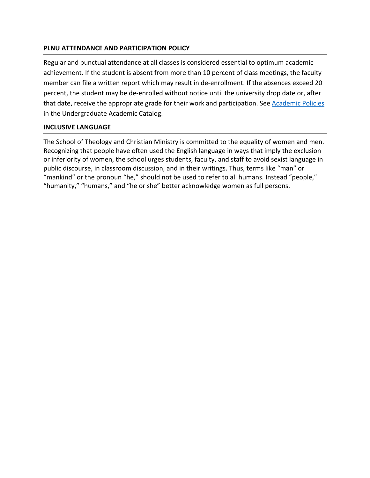# **PLNU ATTENDANCE AND PARTICIPATION POLICY**

Regular and punctual attendance at all classes is considered essential to optimum academic achievement. If the student is absent from more than 10 percent of class meetings, the faculty member can file a written report which may result in de-enrollment. If the absences exceed 20 percent, the student may be de-enrolled without notice until the university drop date or, after that date, receive the appropriate grade for their work and participation. See Academic Policies in the Undergraduate Academic Catalog.

## **INCLUSIVE LANGUAGE**

The School of Theology and Christian Ministry is committed to the equality of women and men. Recognizing that people have often used the English language in ways that imply the exclusion or inferiority of women, the school urges students, faculty, and staff to avoid sexist language in public discourse, in classroom discussion, and in their writings. Thus, terms like "man" or "mankind" or the pronoun "he," should not be used to refer to all humans. Instead "people," "humanity," "humans," and "he or she" better acknowledge women as full persons.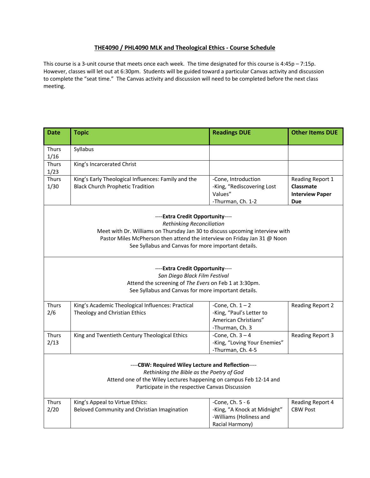#### **THE4090 / PHL4090 MLK and Theological Ethics - Course Schedule**

This course is a 3-unit course that meets once each week. The time designated for this course is 4:45p – 7:15p. However, classes will let out at 6:30pm. Students will be guided toward a particular Canvas activity and discussion to complete the "seat time." The Canvas activity and discussion will need to be completed before the next class meeting.

| <b>Date</b>                                                                                                           | <b>Topic</b>                                                                 | <b>Readings DUE</b>          | <b>Other Items DUE</b> |  |
|-----------------------------------------------------------------------------------------------------------------------|------------------------------------------------------------------------------|------------------------------|------------------------|--|
|                                                                                                                       |                                                                              |                              |                        |  |
| <b>Thurs</b><br>1/16                                                                                                  | Syllabus                                                                     |                              |                        |  |
| Thurs                                                                                                                 | King's Incarcerated Christ                                                   |                              |                        |  |
| 1/23                                                                                                                  |                                                                              |                              |                        |  |
| Thurs                                                                                                                 | King's Early Theological Influences: Family and the                          | -Cone, Introduction          | Reading Report 1       |  |
| 1/30                                                                                                                  | <b>Black Church Prophetic Tradition</b>                                      | -King, "Rediscovering Lost   | Classmate              |  |
|                                                                                                                       |                                                                              | Values"                      | <b>Interview Paper</b> |  |
|                                                                                                                       |                                                                              | -Thurman, Ch. 1-2            | <b>Due</b>             |  |
|                                                                                                                       | ----Extra Credit Opportunity----                                             |                              |                        |  |
|                                                                                                                       | <b>Rethinking Reconciliation</b>                                             |                              |                        |  |
|                                                                                                                       | Meet with Dr. Williams on Thursday Jan 30 to discuss upcoming interview with |                              |                        |  |
|                                                                                                                       | Pastor Miles McPherson then attend the interview on Friday Jan 31 @ Noon     |                              |                        |  |
|                                                                                                                       | See Syllabus and Canvas for more important details.                          |                              |                        |  |
|                                                                                                                       |                                                                              |                              |                        |  |
|                                                                                                                       | ----Extra Credit Opportunity----                                             |                              |                        |  |
|                                                                                                                       | San Diego Black Film Festival                                                |                              |                        |  |
|                                                                                                                       | Attend the screening of The Evers on Feb 1 at 3:30pm.                        |                              |                        |  |
|                                                                                                                       | See Syllabus and Canvas for more important details.                          |                              |                        |  |
| Thurs                                                                                                                 | King's Academic Theological Influences: Practical                            | -Cone, Ch. $1 - 2$           | Reading Report 2       |  |
| 2/6                                                                                                                   | Theology and Christian Ethics                                                | -King, "Paul's Letter to     |                        |  |
|                                                                                                                       |                                                                              | American Christians"         |                        |  |
|                                                                                                                       |                                                                              | -Thurman, Ch. 3              |                        |  |
| Thurs                                                                                                                 | King and Twentieth Century Theological Ethics                                | -Cone, Ch. $3-4$             | Reading Report 3       |  |
| 2/13                                                                                                                  |                                                                              | -King, "Loving Your Enemies" |                        |  |
|                                                                                                                       |                                                                              | -Thurman, Ch. 4-5            |                        |  |
|                                                                                                                       |                                                                              |                              |                        |  |
| ----CBW: Required Wiley Lecture and Reflection----                                                                    |                                                                              |                              |                        |  |
| Rethinking the Bible as the Poetry of God                                                                             |                                                                              |                              |                        |  |
| Attend one of the Wiley Lectures happening on campus Feb 12-14 and<br>Participate in the respective Canvas Discussion |                                                                              |                              |                        |  |
|                                                                                                                       |                                                                              |                              |                        |  |
| Thurs                                                                                                                 | King's Appeal to Virtue Ethics:                                              | -Cone, Ch. 5 - 6             | Reading Report 4       |  |
| 2/20                                                                                                                  | Beloved Community and Christian Imagination                                  | -King, "A Knock at Midnight" | <b>CBW Post</b>        |  |
|                                                                                                                       |                                                                              | -Williams (Holiness and      |                        |  |
|                                                                                                                       |                                                                              | Racial Harmony)              |                        |  |